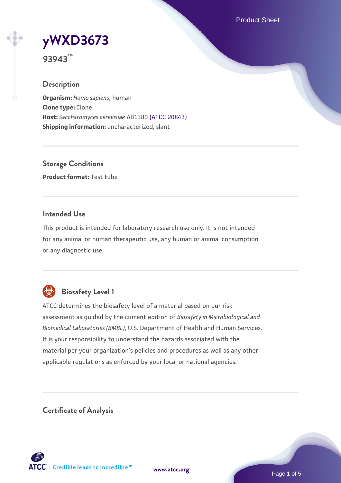Product Sheet

# **[yWXD3673](https://www.atcc.org/products/93943)**

**93943™**

# **Description**

**Organism:** *Homo sapiens*, human **Clone type:** Clone **Host:** *Saccharomyces cerevisiae* AB1380 [\(ATCC 20843\)](https://www.atcc.org/products/20843) **Shipping information:** uncharacterized, slant

**Storage Conditions Product format:** Test tube

# **Intended Use**

This product is intended for laboratory research use only. It is not intended for any animal or human therapeutic use, any human or animal consumption, or any diagnostic use.



# **Biosafety Level 1**

ATCC determines the biosafety level of a material based on our risk assessment as guided by the current edition of *Biosafety in Microbiological and Biomedical Laboratories (BMBL)*, U.S. Department of Health and Human Services. It is your responsibility to understand the hazards associated with the material per your organization's policies and procedures as well as any other applicable regulations as enforced by your local or national agencies.

**Certificate of Analysis**

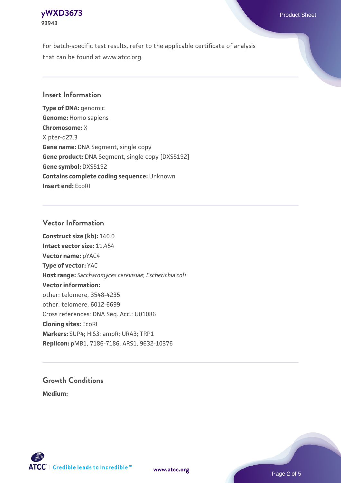# **[yWXD3673](https://www.atcc.org/products/93943)** Product Sheet **93943**

For batch-specific test results, refer to the applicable certificate of analysis that can be found at www.atcc.org.

# **Insert Information**

**Type of DNA:** genomic **Genome:** Homo sapiens **Chromosome:** X X pter-q27.3 **Gene name:** DNA Segment, single copy **Gene product:** DNA Segment, single copy [DXS5192] **Gene symbol:** DXS5192 **Contains complete coding sequence:** Unknown **Insert end:** EcoRI

# **Vector Information**

**Construct size (kb):** 140.0 **Intact vector size:** 11.454 **Vector name:** pYAC4 **Type of vector:** YAC **Host range:** *Saccharomyces cerevisiae*; *Escherichia coli* **Vector information:** other: telomere, 3548-4235 other: telomere, 6012-6699 Cross references: DNA Seq. Acc.: U01086 **Cloning sites:** EcoRI **Markers:** SUP4; HIS3; ampR; URA3; TRP1 **Replicon:** pMB1, 7186-7186; ARS1, 9632-10376

# **Growth Conditions**

**Medium:** 



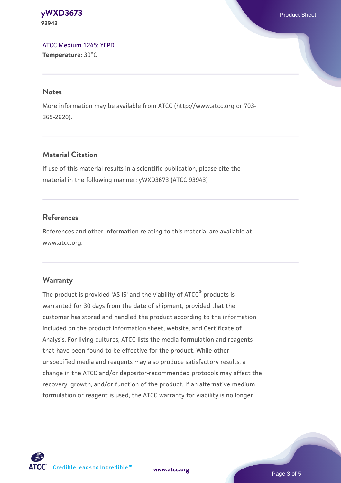**[yWXD3673](https://www.atcc.org/products/93943)** Product Sheet **93943**

[ATCC Medium 1245: YEPD](https://www.atcc.org/-/media/product-assets/documents/microbial-media-formulations/1/2/4/5/atcc-medium-1245.pdf?rev=705ca55d1b6f490a808a965d5c072196) **Temperature:** 30°C

#### **Notes**

More information may be available from ATCC (http://www.atcc.org or 703- 365-2620).

# **Material Citation**

If use of this material results in a scientific publication, please cite the material in the following manner: yWXD3673 (ATCC 93943)

# **References**

References and other information relating to this material are available at www.atcc.org.

#### **Warranty**

The product is provided 'AS IS' and the viability of ATCC® products is warranted for 30 days from the date of shipment, provided that the customer has stored and handled the product according to the information included on the product information sheet, website, and Certificate of Analysis. For living cultures, ATCC lists the media formulation and reagents that have been found to be effective for the product. While other unspecified media and reagents may also produce satisfactory results, a change in the ATCC and/or depositor-recommended protocols may affect the recovery, growth, and/or function of the product. If an alternative medium formulation or reagent is used, the ATCC warranty for viability is no longer

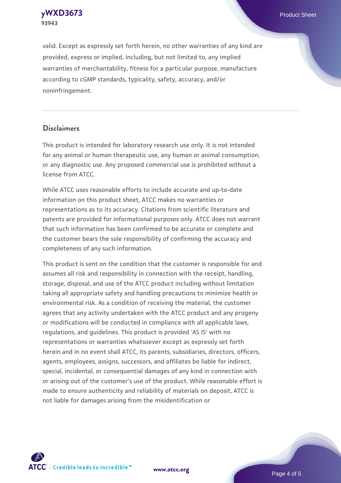**[yWXD3673](https://www.atcc.org/products/93943)** Product Sheet **93943**

valid. Except as expressly set forth herein, no other warranties of any kind are provided, express or implied, including, but not limited to, any implied warranties of merchantability, fitness for a particular purpose, manufacture according to cGMP standards, typicality, safety, accuracy, and/or noninfringement.

#### **Disclaimers**

This product is intended for laboratory research use only. It is not intended for any animal or human therapeutic use, any human or animal consumption, or any diagnostic use. Any proposed commercial use is prohibited without a license from ATCC.

While ATCC uses reasonable efforts to include accurate and up-to-date information on this product sheet, ATCC makes no warranties or representations as to its accuracy. Citations from scientific literature and patents are provided for informational purposes only. ATCC does not warrant that such information has been confirmed to be accurate or complete and the customer bears the sole responsibility of confirming the accuracy and completeness of any such information.

This product is sent on the condition that the customer is responsible for and assumes all risk and responsibility in connection with the receipt, handling, storage, disposal, and use of the ATCC product including without limitation taking all appropriate safety and handling precautions to minimize health or environmental risk. As a condition of receiving the material, the customer agrees that any activity undertaken with the ATCC product and any progeny or modifications will be conducted in compliance with all applicable laws, regulations, and guidelines. This product is provided 'AS IS' with no representations or warranties whatsoever except as expressly set forth herein and in no event shall ATCC, its parents, subsidiaries, directors, officers, agents, employees, assigns, successors, and affiliates be liable for indirect, special, incidental, or consequential damages of any kind in connection with or arising out of the customer's use of the product. While reasonable effort is made to ensure authenticity and reliability of materials on deposit, ATCC is not liable for damages arising from the misidentification or



**[www.atcc.org](http://www.atcc.org)**

Page 4 of 5